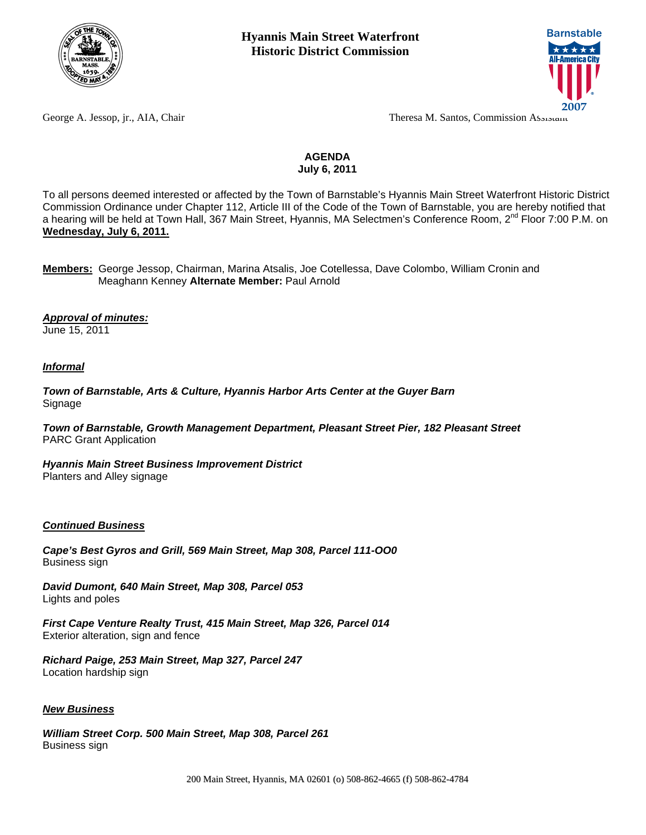



George A. Jessop, jr., AIA, Chair Theresa M. Santos, Commission Assistant

# **AGENDA July 6, 2011**

To all persons deemed interested or affected by the Town of Barnstable's Hyannis Main Street Waterfront Historic District Commission Ordinance under Chapter 112, Article III of the Code of the Town of Barnstable, you are hereby notified that a hearing will be held at Town Hall, 367 Main Street, Hyannis, MA Selectmen's Conference Room, 2<sup>nd</sup> Floor 7:00 P.M. on **Wednesday, July 6, 2011.**

**Members:** George Jessop, Chairman, Marina Atsalis, Joe Cotellessa, Dave Colombo, William Cronin and Meaghann Kenney **Alternate Member:** Paul Arnold

# *Approval of minutes:*

June 15, 2011

# *Informal*

*Town of Barnstable, Arts & Culture, Hyannis Harbor Arts Center at the Guyer Barn*  Signage

*Town of Barnstable, Growth Management Department, Pleasant Street Pier, 182 Pleasant Street*  PARC Grant Application

*Hyannis Main Street Business Improvement District*  Planters and Alley signage

### *Continued Business*

*Cape's Best Gyros and Grill, 569 Main Street, Map 308, Parcel 111-OO0*  Business sign

*David Dumont, 640 Main Street, Map 308, Parcel 053*  Lights and poles

*First Cape Venture Realty Trust, 415 Main Street, Map 326, Parcel 014*  Exterior alteration, sign and fence

*Richard Paige, 253 Main Street, Map 327, Parcel 247*  Location hardship sign

### *New Business*

*William Street Corp. 500 Main Street, Map 308, Parcel 261*  Business sign